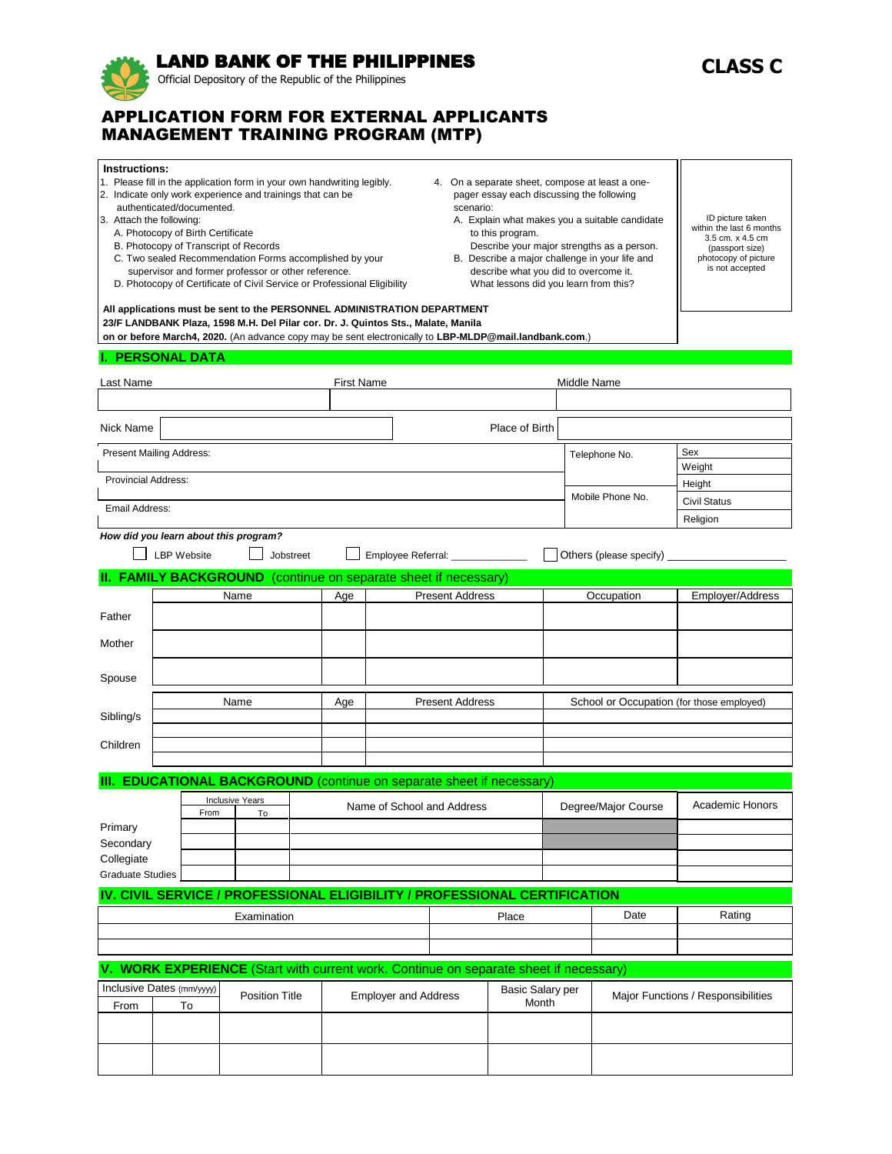# LAND BANK OF THE PHILIPPINES

Official Depository of the Republic of the Philippines

# APPLICATION FORM FOR EXTERNAL APPLICANTS MANAGEMENT TRAINING PROGRAM (MTP)

| Instructions:<br>1. Please fill in the application form in your own handwriting legibly.<br>2. Indicate only work experience and trainings that can be<br>authenticated/documented.<br>3. Attach the following:<br>A. Photocopy of Birth Certificate<br>B. Photocopy of Transcript of Records<br>C. Two sealed Recommendation Forms accomplished by your<br>supervisor and former professor or other reference.<br>D. Photocopy of Certificate of Civil Service or Professional Eligibility<br>All applications must be sent to the PERSONNEL ADMINISTRATION DEPARTMENT |                    |      |                                                                                                                                                                                             |                        | 4. On a separate sheet, compose at least a one-<br>pager essay each discussing the following<br>scenario:<br>A. Explain what makes you a suitable candidate<br>to this program.<br>Describe your major strengths as a person.<br>B. Describe a major challenge in your life and<br>describe what you did to overcome it.<br>What lessons did you learn from this? |                                     |                        | ID picture taken<br>within the last 6 months<br>3.5 cm. x 4.5 cm<br>(passport size)<br>photocopy of picture<br>is not accepted |                                    |                           |                                 |
|-------------------------------------------------------------------------------------------------------------------------------------------------------------------------------------------------------------------------------------------------------------------------------------------------------------------------------------------------------------------------------------------------------------------------------------------------------------------------------------------------------------------------------------------------------------------------|--------------------|------|---------------------------------------------------------------------------------------------------------------------------------------------------------------------------------------------|------------------------|-------------------------------------------------------------------------------------------------------------------------------------------------------------------------------------------------------------------------------------------------------------------------------------------------------------------------------------------------------------------|-------------------------------------|------------------------|--------------------------------------------------------------------------------------------------------------------------------|------------------------------------|---------------------------|---------------------------------|
|                                                                                                                                                                                                                                                                                                                                                                                                                                                                                                                                                                         |                    |      | 23/F LANDBANK Plaza, 1598 M.H. Del Pilar cor. Dr. J. Quintos Sts., Malate, Manila<br>on or before March4, 2020. (An advance copy may be sent electronically to LBP-MLDP@mail.landbank.com.) |                        |                                                                                                                                                                                                                                                                                                                                                                   |                                     |                        |                                                                                                                                |                                    |                           |                                 |
| <b>I. PERSONAL DATA</b>                                                                                                                                                                                                                                                                                                                                                                                                                                                                                                                                                 |                    |      |                                                                                                                                                                                             |                        |                                                                                                                                                                                                                                                                                                                                                                   |                                     |                        |                                                                                                                                |                                    |                           |                                 |
| Last Name                                                                                                                                                                                                                                                                                                                                                                                                                                                                                                                                                               |                    |      |                                                                                                                                                                                             |                        | <b>First Name</b>                                                                                                                                                                                                                                                                                                                                                 |                                     |                        |                                                                                                                                | Middle Name                        |                           |                                 |
|                                                                                                                                                                                                                                                                                                                                                                                                                                                                                                                                                                         |                    |      |                                                                                                                                                                                             |                        |                                                                                                                                                                                                                                                                                                                                                                   |                                     |                        |                                                                                                                                |                                    |                           |                                 |
| Nick Name                                                                                                                                                                                                                                                                                                                                                                                                                                                                                                                                                               |                    |      |                                                                                                                                                                                             |                        |                                                                                                                                                                                                                                                                                                                                                                   |                                     |                        | Place of Birth                                                                                                                 |                                    |                           |                                 |
| <b>Present Mailing Address:</b>                                                                                                                                                                                                                                                                                                                                                                                                                                                                                                                                         |                    |      |                                                                                                                                                                                             |                        |                                                                                                                                                                                                                                                                                                                                                                   |                                     |                        |                                                                                                                                |                                    | Telephone No.             | Sex                             |
| <b>Provincial Address:</b>                                                                                                                                                                                                                                                                                                                                                                                                                                                                                                                                              |                    |      |                                                                                                                                                                                             |                        |                                                                                                                                                                                                                                                                                                                                                                   |                                     |                        |                                                                                                                                |                                    |                           | Weight                          |
|                                                                                                                                                                                                                                                                                                                                                                                                                                                                                                                                                                         |                    |      |                                                                                                                                                                                             |                        |                                                                                                                                                                                                                                                                                                                                                                   |                                     |                        |                                                                                                                                |                                    | Mobile Phone No.          | Height                          |
| Email Address:                                                                                                                                                                                                                                                                                                                                                                                                                                                                                                                                                          |                    |      |                                                                                                                                                                                             |                        |                                                                                                                                                                                                                                                                                                                                                                   |                                     |                        |                                                                                                                                |                                    |                           | <b>Civil Status</b><br>Religion |
|                                                                                                                                                                                                                                                                                                                                                                                                                                                                                                                                                                         |                    |      | How did you learn about this program?                                                                                                                                                       |                        |                                                                                                                                                                                                                                                                                                                                                                   |                                     |                        |                                                                                                                                |                                    |                           |                                 |
|                                                                                                                                                                                                                                                                                                                                                                                                                                                                                                                                                                         | <b>LBP Website</b> |      |                                                                                                                                                                                             | Jobstreet              |                                                                                                                                                                                                                                                                                                                                                                   | Employee Referral: ________________ |                        |                                                                                                                                |                                    | Others (please specify) _ |                                 |
|                                                                                                                                                                                                                                                                                                                                                                                                                                                                                                                                                                         |                    |      | <b>FAMILY BACKGROUND</b> (continue on separate sheet if necessary)                                                                                                                          |                        |                                                                                                                                                                                                                                                                                                                                                                   |                                     |                        |                                                                                                                                |                                    |                           |                                 |
|                                                                                                                                                                                                                                                                                                                                                                                                                                                                                                                                                                         |                    |      | Name                                                                                                                                                                                        |                        | Age                                                                                                                                                                                                                                                                                                                                                               |                                     | <b>Present Address</b> |                                                                                                                                |                                    | Occupation                | Employer/Address                |
| Father                                                                                                                                                                                                                                                                                                                                                                                                                                                                                                                                                                  |                    |      |                                                                                                                                                                                             |                        |                                                                                                                                                                                                                                                                                                                                                                   |                                     |                        |                                                                                                                                |                                    |                           |                                 |
|                                                                                                                                                                                                                                                                                                                                                                                                                                                                                                                                                                         |                    |      |                                                                                                                                                                                             |                        |                                                                                                                                                                                                                                                                                                                                                                   |                                     |                        |                                                                                                                                |                                    |                           |                                 |
| Mother                                                                                                                                                                                                                                                                                                                                                                                                                                                                                                                                                                  |                    |      |                                                                                                                                                                                             |                        |                                                                                                                                                                                                                                                                                                                                                                   |                                     |                        |                                                                                                                                |                                    |                           |                                 |
| Spouse                                                                                                                                                                                                                                                                                                                                                                                                                                                                                                                                                                  |                    |      |                                                                                                                                                                                             |                        |                                                                                                                                                                                                                                                                                                                                                                   |                                     |                        |                                                                                                                                |                                    |                           |                                 |
| Name                                                                                                                                                                                                                                                                                                                                                                                                                                                                                                                                                                    |                    | Age  |                                                                                                                                                                                             | <b>Present Address</b> |                                                                                                                                                                                                                                                                                                                                                                   |                                     |                        | School or Occupation (for those employed)                                                                                      |                                    |                           |                                 |
| Sibling/s                                                                                                                                                                                                                                                                                                                                                                                                                                                                                                                                                               |                    |      |                                                                                                                                                                                             |                        |                                                                                                                                                                                                                                                                                                                                                                   |                                     |                        |                                                                                                                                |                                    |                           |                                 |
| Children                                                                                                                                                                                                                                                                                                                                                                                                                                                                                                                                                                |                    |      |                                                                                                                                                                                             |                        |                                                                                                                                                                                                                                                                                                                                                                   |                                     |                        |                                                                                                                                |                                    |                           |                                 |
|                                                                                                                                                                                                                                                                                                                                                                                                                                                                                                                                                                         |                    |      |                                                                                                                                                                                             |                        |                                                                                                                                                                                                                                                                                                                                                                   |                                     |                        |                                                                                                                                |                                    |                           |                                 |
|                                                                                                                                                                                                                                                                                                                                                                                                                                                                                                                                                                         |                    |      | <b>EDUCATIONAL BACKGROUND</b> (continue on separate sheet if necessary)                                                                                                                     |                        |                                                                                                                                                                                                                                                                                                                                                                   |                                     |                        |                                                                                                                                |                                    |                           |                                 |
|                                                                                                                                                                                                                                                                                                                                                                                                                                                                                                                                                                         |                    |      | <b>Inclusive Years</b>                                                                                                                                                                      |                        |                                                                                                                                                                                                                                                                                                                                                                   | Name of School and Address          |                        |                                                                                                                                |                                    | Degree/Major Course       | <b>Academic Honors</b>          |
| Primary                                                                                                                                                                                                                                                                                                                                                                                                                                                                                                                                                                 |                    | From | To                                                                                                                                                                                          |                        |                                                                                                                                                                                                                                                                                                                                                                   |                                     |                        |                                                                                                                                |                                    |                           |                                 |
| Secondary                                                                                                                                                                                                                                                                                                                                                                                                                                                                                                                                                               |                    |      |                                                                                                                                                                                             |                        |                                                                                                                                                                                                                                                                                                                                                                   |                                     |                        |                                                                                                                                |                                    |                           |                                 |
| Collegiate                                                                                                                                                                                                                                                                                                                                                                                                                                                                                                                                                              |                    |      |                                                                                                                                                                                             |                        |                                                                                                                                                                                                                                                                                                                                                                   |                                     |                        |                                                                                                                                |                                    |                           |                                 |
| <b>Graduate Studies</b>                                                                                                                                                                                                                                                                                                                                                                                                                                                                                                                                                 |                    |      |                                                                                                                                                                                             |                        |                                                                                                                                                                                                                                                                                                                                                                   |                                     |                        |                                                                                                                                |                                    |                           |                                 |
|                                                                                                                                                                                                                                                                                                                                                                                                                                                                                                                                                                         |                    |      | IV. CIVIL SERVICE / PROFESSIONAL ELIGIBILITY / PROFESSIONAL CERTIFICATION                                                                                                                   |                        |                                                                                                                                                                                                                                                                                                                                                                   |                                     |                        |                                                                                                                                |                                    |                           |                                 |
| Examination                                                                                                                                                                                                                                                                                                                                                                                                                                                                                                                                                             |                    |      |                                                                                                                                                                                             |                        | Place                                                                                                                                                                                                                                                                                                                                                             |                                     | Date                   | Rating                                                                                                                         |                                    |                           |                                 |
|                                                                                                                                                                                                                                                                                                                                                                                                                                                                                                                                                                         |                    |      |                                                                                                                                                                                             |                        |                                                                                                                                                                                                                                                                                                                                                                   |                                     |                        |                                                                                                                                |                                    |                           |                                 |
|                                                                                                                                                                                                                                                                                                                                                                                                                                                                                                                                                                         |                    |      | <b>WORK EXPERIENCE</b> (Start with current work. Continue on separate sheet if necessary)                                                                                                   |                        |                                                                                                                                                                                                                                                                                                                                                                   |                                     |                        |                                                                                                                                |                                    |                           |                                 |
| Inclusive Dates (mm/yyyy)                                                                                                                                                                                                                                                                                                                                                                                                                                                                                                                                               |                    |      |                                                                                                                                                                                             |                        |                                                                                                                                                                                                                                                                                                                                                                   |                                     |                        | Basic Salary per                                                                                                               |                                    |                           |                                 |
| From                                                                                                                                                                                                                                                                                                                                                                                                                                                                                                                                                                    | To                 |      | <b>Position Title</b>                                                                                                                                                                       |                        | <b>Employer and Address</b>                                                                                                                                                                                                                                                                                                                                       |                                     | Month                  |                                                                                                                                | Major Functions / Responsibilities |                           |                                 |
|                                                                                                                                                                                                                                                                                                                                                                                                                                                                                                                                                                         |                    |      |                                                                                                                                                                                             |                        |                                                                                                                                                                                                                                                                                                                                                                   |                                     |                        |                                                                                                                                |                                    |                           |                                 |
|                                                                                                                                                                                                                                                                                                                                                                                                                                                                                                                                                                         |                    |      |                                                                                                                                                                                             |                        |                                                                                                                                                                                                                                                                                                                                                                   |                                     |                        |                                                                                                                                |                                    |                           |                                 |
|                                                                                                                                                                                                                                                                                                                                                                                                                                                                                                                                                                         |                    |      |                                                                                                                                                                                             |                        |                                                                                                                                                                                                                                                                                                                                                                   |                                     |                        |                                                                                                                                |                                    |                           |                                 |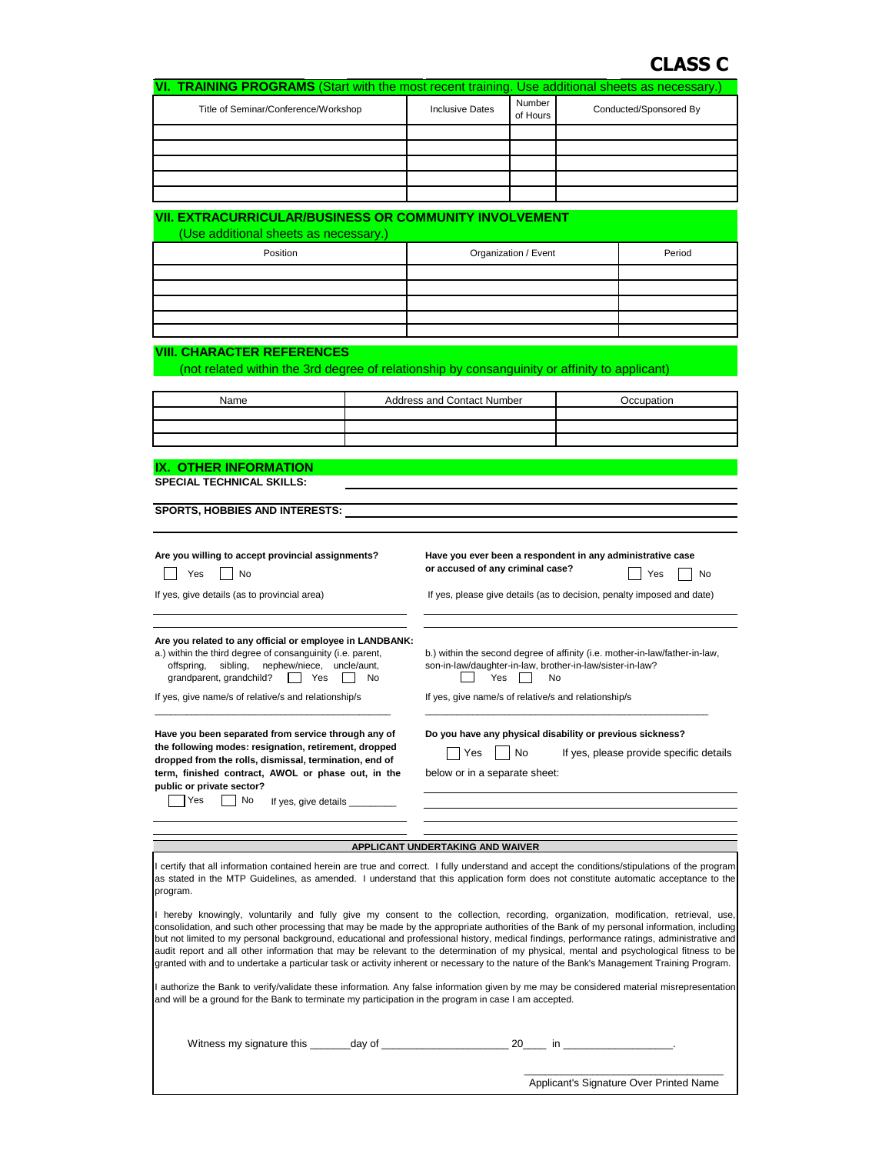# **CLASS C**

| VI. TRAINING PROGRAMS (Start with the most recent training. Use additional sheets as necessary.) |                                                               |                           |                        |  |  |  |  |
|--------------------------------------------------------------------------------------------------|---------------------------------------------------------------|---------------------------|------------------------|--|--|--|--|
| Title of Seminar/Conference/Workshop                                                             | <b>Inclusive Dates</b>                                        | <b>Number</b><br>of Hours | Conducted/Sponsored By |  |  |  |  |
|                                                                                                  |                                                               |                           |                        |  |  |  |  |
|                                                                                                  |                                                               |                           |                        |  |  |  |  |
|                                                                                                  |                                                               |                           |                        |  |  |  |  |
|                                                                                                  |                                                               |                           |                        |  |  |  |  |
|                                                                                                  |                                                               |                           |                        |  |  |  |  |
| (Use additional sheets as necessary.)                                                            | <b>VII. EXTRACURRICULAR/BUSINESS OR COMMUNITY INVOLVEMENT</b> |                           |                        |  |  |  |  |
| Position                                                                                         |                                                               | Organization / Event      | Period                 |  |  |  |  |
|                                                                                                  |                                                               |                           |                        |  |  |  |  |
|                                                                                                  |                                                               |                           |                        |  |  |  |  |
|                                                                                                  |                                                               |                           |                        |  |  |  |  |
|                                                                                                  |                                                               |                           |                        |  |  |  |  |

### **VIII. CHARACTER REFERENCES**

(not related within the 3rd degree of relationship by consanguinity or affinity to applicant)

| Name | <b>Address and Contact Number</b> | $\lambda$ |
|------|-----------------------------------|-----------|
|      |                                   |           |
|      |                                   |           |
|      |                                   |           |

#### **IX. OTHER INFORMATION**

**SPECIAL TECHNICAL SKILLS:**

**SPORTS, HOBBIES AND INTERESTS:**

**Are you willing to accept provincial assignments? Have you ever been a respondent in any administrative case**

|  | $\overline{\phantom{0}}$ |  |
|--|--------------------------|--|
|--|--------------------------|--|

**public or private sector?**  $\vert$  Yes  $\vert$  No

**or accused of any criminal case?**

Yes No Yes No

If yes, give details (as to provincial area) If yes, please give details (as to decision, penalty imposed and date)

**Are you related to any official or employee in LANDBANK:** a.) within the third degree of consanguinity (i.e. parent,

 offspring, sibling, nephew/niece, uncle/aunt, grandparent, grandchild? | Yes | No

**the following modes: resignation, retirement, dropped dropped from the rolls, dismissal, termination, end of** 

If yes, give details

b.) within the second degree of affinity (i.e. mother-in-law/father-in-law, son-in-law/daughter-in-law, brother-in-law/sister-in-law?  $\Box$  Yes  $\Box$  No

If yes, give name/s of relative/s and relationship/s If yes, give name/s of relative/s and relationship/s

**Have you been separated from service through any of Do you have any physical disability or previous sickness?**

No If yes, please provide specific details

**term, finished contract, AWOL or phase out, in the** below or in a separate sheet:

#### **APPLICANT UNDERTAKING AND WAIVER**

\_\_\_\_\_\_\_\_\_\_\_\_\_\_\_\_\_\_\_\_\_\_\_\_\_\_\_\_\_\_\_\_\_\_\_\_\_\_\_\_\_\_\_\_\_ \_\_\_\_\_\_\_\_\_\_\_\_\_\_\_\_\_\_\_\_\_\_\_\_\_\_\_\_\_\_\_\_\_\_\_\_\_\_\_\_\_\_\_\_\_\_\_\_\_\_\_\_\_\_

I certify that all information contained herein are true and correct. I fully understand and accept the conditions/stipulations of the program as stated in the MTP Guidelines, as amended. I understand that this application form does not constitute automatic acceptance to the program.

hereby knowingly, voluntarily and fully give my consent to the collection, recording, organization, modification, retrieval, use, consolidation, and such other processing that may be made by the appropriate authorities of the Bank of my personal information, including but not limited to my personal background, educational and professional history, medical findings, performance ratings, administrative and audit report and all other information that may be relevant to the determination of my physical, mental and psychological fitness to be granted with and to undertake a particular task or activity inherent or necessary to the nature of the Bank's Management Training Program.

I authorize the Bank to verify/validate these information. Any false information given by me may be considered material misrepresentation and will be a ground for the Bank to terminate my participation in the program in case I am accepted.

Witness my signature this \_\_\_\_\_\_\_day of \_\_\_\_\_\_\_\_\_\_\_\_\_\_\_\_\_\_\_\_\_\_ 20\_\_\_\_ in \_\_\_\_\_\_\_\_\_\_\_\_\_\_\_\_\_\_\_.

\_\_\_\_\_\_\_\_\_\_\_\_\_\_\_\_\_\_\_\_\_\_\_\_\_\_\_\_\_\_\_\_\_\_\_\_\_\_ Applicant's Signature Over Printed Name